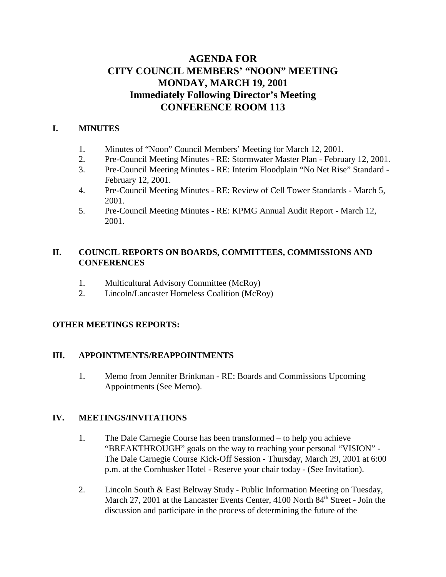## **AGENDA FOR CITY COUNCIL MEMBERS' "NOON" MEETING MONDAY, MARCH 19, 2001 Immediately Following Director's Meeting CONFERENCE ROOM 113**

### **I. MINUTES**

- 1. Minutes of "Noon" Council Members' Meeting for March 12, 2001.
- 2. Pre-Council Meeting Minutes RE: Stormwater Master Plan February 12, 2001.
- 3. Pre-Council Meeting Minutes RE: Interim Floodplain "No Net Rise" Standard February 12, 2001.
- 4. Pre-Council Meeting Minutes RE: Review of Cell Tower Standards March 5, 2001.
- 5. Pre-Council Meeting Minutes RE: KPMG Annual Audit Report March 12, 2001.

### **II. COUNCIL REPORTS ON BOARDS, COMMITTEES, COMMISSIONS AND CONFERENCES**

- 1. Multicultural Advisory Committee (McRoy)
- 2. Lincoln/Lancaster Homeless Coalition (McRoy)

## **OTHER MEETINGS REPORTS:**

### **III. APPOINTMENTS/REAPPOINTMENTS**

1. Memo from Jennifer Brinkman - RE: Boards and Commissions Upcoming Appointments (See Memo).

### **IV. MEETINGS/INVITATIONS**

- 1. The Dale Carnegie Course has been transformed to help you achieve "BREAKTHROUGH" goals on the way to reaching your personal "VISION" - The Dale Carnegie Course Kick-Off Session - Thursday, March 29, 2001 at 6:00 p.m. at the Cornhusker Hotel - Reserve your chair today - (See Invitation).
- 2. Lincoln South & East Beltway Study Public Information Meeting on Tuesday, March 27, 2001 at the Lancaster Events Center, 4100 North 84<sup>th</sup> Street - Join the discussion and participate in the process of determining the future of the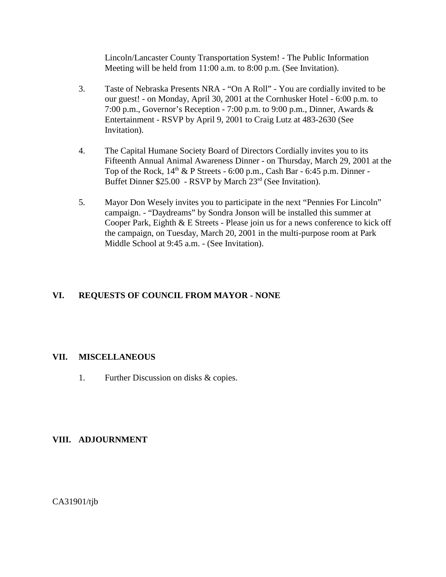Lincoln/Lancaster County Transportation System! - The Public Information Meeting will be held from 11:00 a.m. to 8:00 p.m. (See Invitation).

- 3. Taste of Nebraska Presents NRA "On A Roll" You are cordially invited to be our guest! - on Monday, April 30, 2001 at the Cornhusker Hotel - 6:00 p.m. to 7:00 p.m., Governor's Reception - 7:00 p.m. to 9:00 p.m., Dinner, Awards & Entertainment - RSVP by April 9, 2001 to Craig Lutz at 483-2630 (See Invitation).
- 4. The Capital Humane Society Board of Directors Cordially invites you to its Fifteenth Annual Animal Awareness Dinner - on Thursday, March 29, 2001 at the Top of the Rock,  $14<sup>th</sup>$  & P Streets - 6:00 p.m., Cash Bar - 6:45 p.m. Dinner -Buffet Dinner \$25.00 - RSVP by March 23rd (See Invitation).
- 5. Mayor Don Wesely invites you to participate in the next "Pennies For Lincoln" campaign. - "Daydreams" by Sondra Jonson will be installed this summer at Cooper Park, Eighth & E Streets - Please join us for a news conference to kick off the campaign, on Tuesday, March 20, 2001 in the multi-purpose room at Park Middle School at 9:45 a.m. - (See Invitation).

### **VI. REQUESTS OF COUNCIL FROM MAYOR - NONE**

### **VII. MISCELLANEOUS**

1. Further Discussion on disks & copies.

### **VIII. ADJOURNMENT**

CA31901/tjb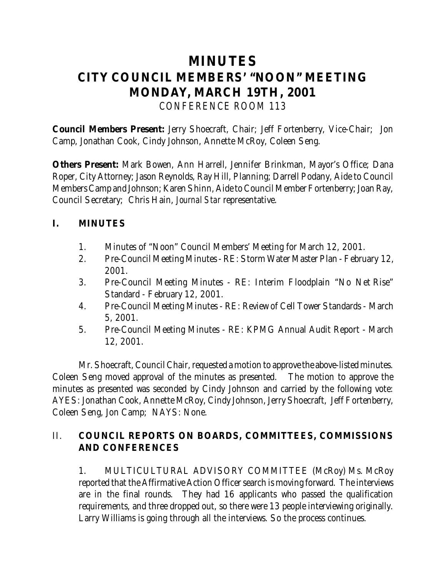# **MINUTES CITY COUNCIL MEMBERS' "NOON" MEETING MONDAY, MARCH 19TH, 2001** *CONFERENCE ROOM 113*

**Council Members Present:** Jerry Shoecraft, Chair; Jeff Fortenberry, Vice-Chair; Jon Camp, Jonathan Cook, Cindy Johnson, Annette McRoy, Coleen Seng.

**Others Present:** Mark Bowen, Ann Harrell, Jennifer Brinkman, Mayor's Office; Dana Roper, City Attorney; Jason Reynolds, Ray Hill, Planning; Darrell Podany, Aide to Council Members Camp and Johnson; Karen Shinn, Aide to Council Member Fortenberry; Joan Ray, Council Secretary; Chris Hain, *Journal Star* representative.

## **I. MINUTES**

- 1. Minutes of "Noon" Council Members' Meeting for March 12, 2001.
- 2. Pre-Council Meeting Minutes RE: Storm Water Master Plan February 12, 2001.
- 3. Pre-Council Meeting Minutes RE: Interim Floodplain "No Net Rise" Standard - February 12, 2001.
- 4. Pre-Council Meeting Minutes RE: Review of Cell Tower Standards March 5, 2001.
- 5. Pre-Council Meeting Minutes RE: KPMG Annual Audit Report March 12, 2001.

Mr. Shoecraft, Council Chair, requested a motion to approve the above-listed minutes. Coleen Seng moved approval of the minutes as presented. The motion to approve the minutes as presented was seconded by Cindy Johnson and carried by the following vote: AYES: Jonathan Cook, Annette McRoy, Cindy Johnson, Jerry Shoecraft, Jeff Fortenberry, Coleen Seng, Jon Camp; NAYS: None.

## II. **COUNCIL REPORTS ON BOARDS, COMMITTEES, COMMISSIONS AND CONFERENCES**

 1. MULTICULTURAL ADVISORY COMMITTEE (McRoy) Ms. McRoy reported that the Affirmative Action Officer search is moving forward. The interviews are in the final rounds. They had 16 applicants who passed the qualification requirements, and three dropped out, so there were 13 people interviewing originally. Larry Williams is going through all the interviews. So the process continues.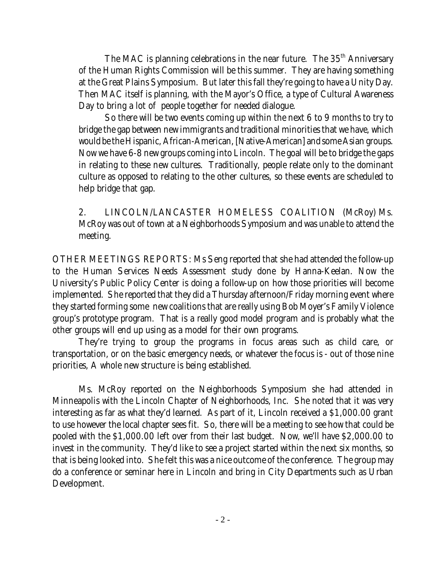The MAC is planning celebrations in the near future. The 35<sup>th</sup> Anniversary of the Human Rights Commission will be this summer. They are having something at the Great Plains Symposium. But later this fall they're going to have a Unity Day. Then MAC itself is planning, with the Mayor's Office, a type of Cultural Awareness Day to bring a lot of people together for needed dialogue.

So there will be two events coming up within the next 6 to 9 months to try to bridge the gap between new immigrants and traditional minorities that we have, which would be the Hispanic, African-American, [Native-American] and some Asian groups. Now we have 6-8 new groups coming into Lincoln. The goal will be to bridge the gaps in relating to these new cultures. Traditionally, people relate only to the dominant culture as opposed to relating to the other cultures, so these events are scheduled to help bridge that gap.

2. LINCOLN/LANCASTER HOMELESS COALITION (McRoy) Ms. McRoy was out of town at a Neighborhoods Symposium and was unable to attend the meeting.

OTHER MEETINGS REPORTS: Ms Seng reported that she had attended the follow-up to the Human Services Needs Assessment study done by Hanna-Keelan. Now the University's Public Policy Center is doing a follow-up on how those priorities will become implemented. She reported that they did a Thursday afternoon/Friday morning event where they started forming some new coalitions that are really using Bob Moyer's Family Violence group's prototype program. That is a really good model program and is probably what the other groups will end up using as a model for their own programs.

They're trying to group the programs in focus areas such as child care, or transportation, or on the basic emergency needs, or whatever the focus is - out of those nine priorities, A whole new structure is being established.

Ms. McRoy reported on the Neighborhoods Symposium she had attended in Minneapolis with the Lincoln Chapter of Neighborhoods, Inc. She noted that it was very interesting as far as what they'd learned. As part of it, Lincoln received a \$1,000.00 grant to use however the local chapter sees fit. So, there will be a meeting to see how that could be pooled with the \$1,000.00 left over from their last budget. Now, we'll have \$2,000.00 to invest in the community. They'd like to see a project started within the next six months, so that is being looked into. She felt this was a nice outcome of the conference. The group may do a conference or seminar here in Lincoln and bring in City Departments such as Urban Development.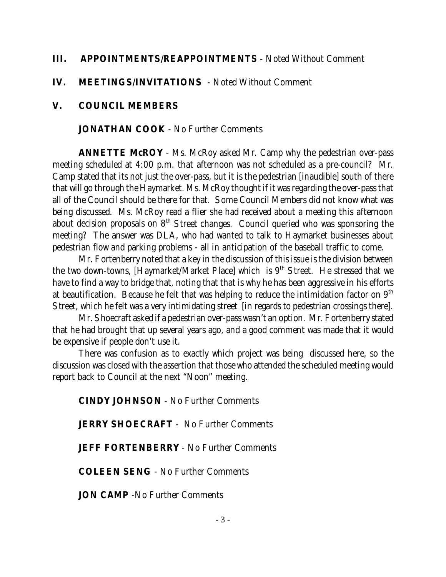## **III. APPOINTMENTS/REAPPOINTMENTS** - Noted Without Comment

## **IV. MEETINGS/INVITATIONS** - Noted Without Comment

## **V. COUNCIL MEMBERS**

## **JONATHAN COOK** - No Further Comments

**ANNETTE McROY** - Ms. McRoy asked Mr. Camp why the pedestrian over-pass meeting scheduled at 4:00 p.m. that afternoon was not scheduled as a pre-council? Mr. Camp stated that its not just the over-pass, but it is the pedestrian [inaudible] south of there that will go through the Haymarket. Ms. McRoy thought if it was regarding the over-pass that all of the Council should be there for that. Some Council Members did not know what was being discussed. Ms. McRoy read a flier she had received about a meeting this afternoon about decision proposals on  $8<sup>th</sup>$  Street changes. Council queried who was sponsoring the meeting? The answer was DLA, who had wanted to talk to Haymarket businesses about pedestrian flow and parking problems - all in anticipation of the baseball traffic to come.

Mr. Fortenberry noted that a key in the discussion of this issue is the division between the two down-towns, [Haymarket/Market Place] which is  $9<sup>th</sup>$  Street. He stressed that we have to find a way to bridge that, noting that that is why he has been aggressive in his efforts at beautification. Because he felt that was helping to reduce the intimidation factor on  $9<sup>th</sup>$ Street, which he felt was a very intimidating street [in regards to pedestrian crossings there].

Mr. Shoecraft asked if a pedestrian over-pass wasn't an option. Mr. Fortenberry stated that he had brought that up several years ago, and a good comment was made that it would be expensive if people don't use it.

There was confusion as to exactly which project was being discussed here, so the discussion was closed with the assertion that those who attended the scheduled meeting would report back to Council at the next "Noon" meeting.

**CINDY JOHNSON** - No Further Comments

**JERRY SHOECRAFT** - No Further Comments

**JEFF FORTENBERRY** - No Further Comments

**COLEEN SENG** - No Further Comments

**JON CAMP** -No Further Comments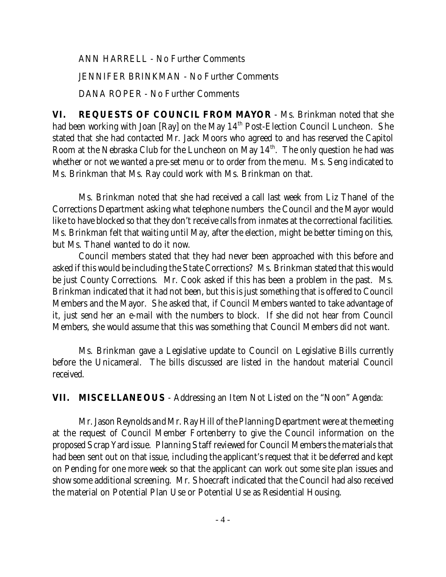ANN HARRELL - No Further Comments

JENNIFER BRINKMAN - No Further Comments

DANA ROPER - No Further Comments

**VI. REQUESTS OF COUNCIL FROM MAYOR** - Ms. Brinkman noted that she had been working with Joan [Ray] on the May  $14<sup>th</sup>$  Post-Election Council Luncheon. She stated that she had contacted Mr. Jack Moors who agreed to and has reserved the Capitol Room at the Nebraska Club for the Luncheon on May  $14<sup>th</sup>$ . The only question he had was whether or not we wanted a pre-set menu or to order from the menu. Ms. Seng indicated to Ms. Brinkman that Ms. Ray could work with Ms. Brinkman on that.

Ms. Brinkman noted that she had received a call last week from Liz Thanel of the Corrections Department asking what telephone numbers the Council and the Mayor would like to have blocked so that they don't receive calls from inmates at the correctional facilities. Ms. Brinkman felt that waiting until May, after the election, might be better timing on this, but Ms. Thanel wanted to do it now.

Council members stated that they had never been approached with this before and asked if this would be including the State Corrections? Ms. Brinkman stated that this would be just County Corrections. Mr. Cook asked if this has been a problem in the past. Ms. Brinkman indicated that it had not been, but this is just something that is offered to Council Members and the Mayor. She asked that, if Council Members wanted to take advantage of it, just send her an e-mail with the numbers to block. If she did not hear from Council Members, she would assume that this was something that Council Members did not want.

Ms. Brinkman gave a Legislative update to Council on Legislative Bills currently before the Unicameral. The bills discussed are listed in the handout material Council received.

**VII. MISCELLANEOUS** - Addressing an Item Not Listed on the "Noon" Agenda:

Mr. Jason Reynolds and Mr. Ray Hill of the Planning Department were at the meeting at the request of Council Member Fortenberry to give the Council information on the proposed Scrap Yard issue. Planning Staff reviewed for Council Members the materials that had been sent out on that issue, including the applicant's request that it be deferred and kept on Pending for one more week so that the applicant can work out some site plan issues and show some additional screening. Mr. Shoecraft indicated that the Council had also received the material on Potential Plan Use or Potential Use as Residential Housing.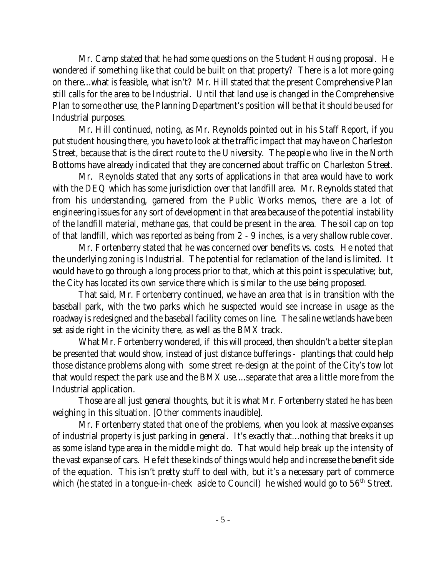Mr. Camp stated that he had some questions on the Student Housing proposal. He wondered if something like that could be built on that property? There is a lot more going on there...what is feasible, what isn't? Mr. Hill stated that the present Comprehensive Plan still calls for the area to be Industrial. Until that land use is changed in the Comprehensive Plan to some other use, the Planning Department's position will be that it should be used for Industrial purposes.

Mr. Hill continued, noting, as Mr. Reynolds pointed out in his Staff Report, if you put student housing there, you have to look at the traffic impact that may have on Charleston Street, because that is the direct route to the University. The people who live in the North Bottoms have already indicated that they are concerned about traffic on Charleston Street.

Mr. Reynolds stated that any sorts of applications in that area would have to work with the DEQ which has some jurisdiction over that landfill area. Mr. Reynolds stated that from his understanding, garnered from the Public Works memos, there are a lot of engineering issues for *any* sort of development in that area because of the potential instability of the landfill material, methane gas, that could be present in the area. The soil cap on top of that landfill, which was reported as being from 2 - 9 inches, is a very shallow ruble cover.

Mr. Fortenberry stated that he was concerned over benefits vs. costs. He noted that the underlying zoning is Industrial. The potential for reclamation of the land is limited. It would have to go through a long process prior to that, which at this point is speculative; but, the City has located its own service there which is similar to the use being proposed.

That said, Mr. Fortenberry continued, we have an area that is in transition with the baseball park, with the two parks which he suspected would see increase in usage as the roadway is redesigned and the baseball facility comes on line. The saline wetlands have been set aside right in the vicinity there, as well as the BMX track.

What Mr. Fortenberry wondered, if this will proceed, then shouldn't a better site plan be presented that would show, instead of just distance bufferings - plantings that could help those distance problems along with some street re-design at the point of the City's tow lot that would respect the park use and the BMX use....separate that area a little more from the Industrial application.

Those are all just general thoughts, but it is what Mr. Fortenberry stated he has been weighing in this situation. [Other comments inaudible].

Mr. Fortenberry stated that one of the problems, when you look at massive expanses of industrial property is just parking in general. It's exactly that...nothing that breaks it up as some island type area in the middle might do. That would help break up the intensity of the vast expanse of cars. He felt these kinds of things would help and increase the benefit side of the equation. This isn't pretty stuff to deal with, but it's a necessary part of commerce which (he stated in a tongue-in-cheek aside to Council) he wished would go to 56<sup>th</sup> Street.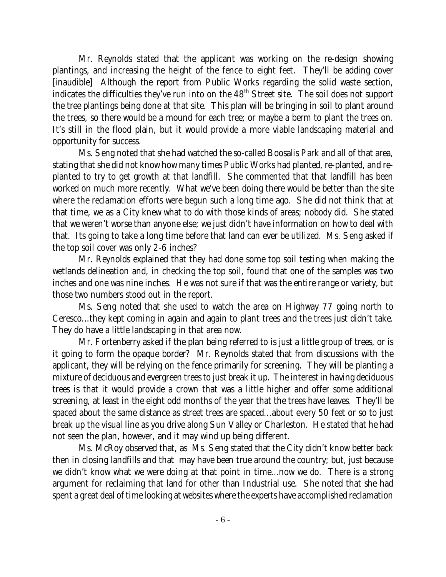Mr. Reynolds stated that the applicant was working on the re-design showing plantings, and increasing the height of the fence to eight feet. They'll be adding cover [inaudible] Although the report from Public Works regarding the solid waste section, indicates the difficulties they've run into on the  $48<sup>th</sup>$  Street site. The soil does not support the tree plantings being done at that site. This plan will be bringing in soil to plant around the trees, so there would be a mound for each tree; or maybe a berm to plant the trees on. It's still in the flood plain, but it would provide a more viable landscaping material and opportunity for success.

Ms. Seng noted that she had watched the so-called Boosalis Park and all of that area, stating that she did not know how many times Public Works had planted, re-planted, and replanted to try to get growth at that landfill. She commented that that landfill has been worked on much more recently. What we've been doing there would be better than the site where the reclamation efforts were begun such a long time ago. She did not think that at that time, we as a City knew what to do with those kinds of areas; nobody did. She stated that we weren't worse than anyone else; we just didn't have information on how to deal with that. Its going to take a long time before that land can ever be utilized. Ms. Seng asked if the top soil cover was only 2-6 inches?

Mr. Reynolds explained that they had done some top soil testing when making the wetlands delineation and, in checking the top soil, found that one of the samples was two inches and one was nine inches. He was not sure if that was the entire range or variety, but those two numbers stood out in the report.

Ms. Seng noted that she used to watch the area on Highway 77 going north to Ceresco...they kept coming in again and again to plant trees and the trees just didn't take. They do have a little landscaping in that area now.

Mr. Fortenberry asked if the plan being referred to is just a little group of trees, or is it going to form the opaque border? Mr. Reynolds stated that from discussions with the applicant, they will be relying on the fence primarily for screening. They will be planting a mixture of deciduous and evergreen trees to just break it up. The interest in having deciduous trees is that it would provide a crown that was a little higher and offer some additional screening, at least in the eight odd months of the year that the trees have leaves. They'll be spaced about the same distance as street trees are spaced...about every 50 feet or so to just break up the visual line as you drive along Sun Valley or Charleston. He stated that he had not seen the plan, however, and it may wind up being different.

Ms. McRoy observed that, as Ms. Seng stated that the City didn't know better back then in closing landfills and that may have been true around the country; but, just because we didn't know what we were doing at that point in time...now we do. There is a strong argument for reclaiming that land for other than Industrial use. She noted that she had spent a great deal of time looking at websites where the experts have accomplished reclamation